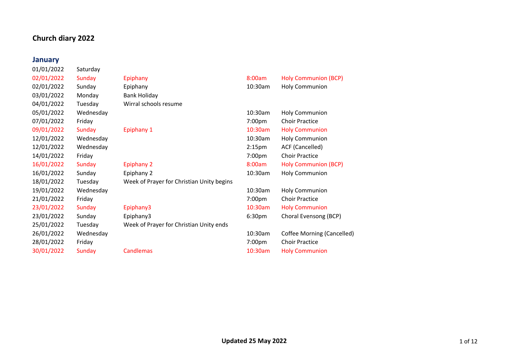#### **Church diary 2022**

#### **January**

01/01/2022 Saturday 03/01/2022 Monday 04/01/2022 Tuesday 14/01/2022 Friday 28/01/2022 Friday 7:00

| 01/01/2022 | Saturday  |                                           |                    |                       |
|------------|-----------|-------------------------------------------|--------------------|-----------------------|
| 02/01/2022 | Sunday    | Epiphany                                  | 8:00am             | <b>Holy Communion</b> |
| 02/01/2022 | Sunday    | Epiphany                                  | 10:30am            | <b>Holy Communion</b> |
| 03/01/2022 | Monday    | Bank Holiday                              |                    |                       |
| 04/01/2022 | Tuesday   | Wirral schools resume                     |                    |                       |
| 05/01/2022 | Wednesday |                                           | 10:30am            | <b>Holy Communion</b> |
| 07/01/2022 | Friday    |                                           | 7:00 <sub>pm</sub> | <b>Choir Practice</b> |
| 09/01/2022 | Sunday    | Epiphany 1                                | 10:30am            | <b>Holy Communion</b> |
| 12/01/2022 | Wednesday |                                           | 10:30am            | <b>Holy Communion</b> |
| 12/01/2022 | Wednesday |                                           | 2:15 <sub>pm</sub> | ACF (Cancelled)       |
| 14/01/2022 | Friday    |                                           | 7:00 <sub>pm</sub> | <b>Choir Practice</b> |
| 16/01/2022 | Sunday    | <b>Epiphany 2</b>                         | 8:00am             | <b>Holy Communion</b> |
| 16/01/2022 | Sunday    | Epiphany 2                                | 10:30am            | <b>Holy Communion</b> |
| 18/01/2022 | Tuesday   | Week of Prayer for Christian Unity begins |                    |                       |

| 02/01/2022 | Sunday    | Epiphany                                  | 8:00am             | <b>Holy Communion (BCP)</b> |  |
|------------|-----------|-------------------------------------------|--------------------|-----------------------------|--|
| 02/01/2022 | Sunday    | Epiphany                                  | 10:30am            | <b>Holy Communion</b>       |  |
| 03/01/2022 | Monday    | Bank Holiday                              |                    |                             |  |
| 04/01/2022 | Tuesday   | Wirral schools resume                     |                    |                             |  |
| 05/01/2022 | Wednesday |                                           | 10:30am            | <b>Holy Communion</b>       |  |
| 07/01/2022 | Friday    |                                           | 7:00pm             | <b>Choir Practice</b>       |  |
| 09/01/2022 | Sunday    | Epiphany 1                                | $10:30$ am         | <b>Holy Communion</b>       |  |
| 12/01/2022 | Wednesday |                                           | 10:30am            | <b>Holy Communion</b>       |  |
| 12/01/2022 | Wednesday |                                           | 2:15 <sub>pm</sub> | ACF (Cancelled)             |  |
| 14/01/2022 | Friday    |                                           | 7:00pm             | <b>Choir Practice</b>       |  |
| 16/01/2022 | Sunday    | <b>Epiphany 2</b>                         | 8:00am             | <b>Holy Communion (BCP)</b> |  |
| 16/01/2022 | Sunday    | Epiphany 2                                | 10:30am            | <b>Holy Communion</b>       |  |
| 18/01/2022 | Tuesday   | Week of Prayer for Christian Unity begins |                    |                             |  |
| 19/01/2022 | Wednesday |                                           | 10:30am            | <b>Holy Communion</b>       |  |
| 21/01/2022 | Friday    |                                           | 7:00pm             | <b>Choir Practice</b>       |  |
| 23/01/2022 | Sunday    | Epiphany3                                 | $10:30$ am         | <b>Holy Communion</b>       |  |
| 23/01/2022 | Sunday    | Epiphany3                                 | 6:30 <sub>pm</sub> | Choral Evensong (BCP)       |  |
| 25/01/2022 | Tuesday   | Week of Prayer for Christian Unity ends   |                    |                             |  |

| 26/01/2022 | Wednesdav |                  |        | 10:30am Coffee Morning (Cancelled) |
|------------|-----------|------------------|--------|------------------------------------|
| 28/01/2022 | Fridav    |                  | 7:00pm | Choir Practice                     |
| 30/01/2022 | Sundav    | <b>Candlemas</b> |        | 10:30am Holy Communion             |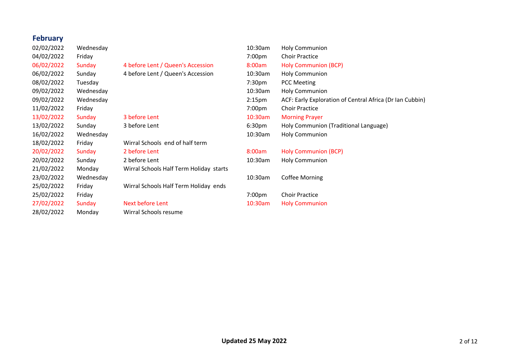#### **February**

04/02/2022 Friday 08/02/2022 Tuesday 09/02/2022 Wednesday 16/02/2022 Wednesday 23/02/2022 Wednesday 28/02/2022 Monday Wirral Schools resume

02/02/2022 Wednesday 10:30am Holy Communion 06/02/2022 Sunday 4 before Lent / Queen's Accession 06/02/2022 Sunday 4 before Lent / Queen's Accession 11/02/2022 Friday 7:00pm Choir Practice 13/02/2022 Sunday 3 before Lent 10:30am Morning Prayer 18/02/2022 Friday Wirral Schools end of half term 20/02/2022 Sunday 2 before Lent 2000 10 m 8:00am Holy Communion (BCP) 20/02/2022 Sunday 2 before Lent 10:30am Holy Communion 21/02/2022 Monday Wirral Schools Half Term Holiday starts 25/02/2022 Friday Wirral Schools Half Term Holiday ends 25/02/2022 Friday 7:00pm Choir Practice 27/02/2022 Sunday Next before Lent 10:30am Holy Communion

| 02/02/2022 | Wednesday |                                         | 10:30am            | <b>Holy Communion</b>                                    |
|------------|-----------|-----------------------------------------|--------------------|----------------------------------------------------------|
| 04/02/2022 | Friday    |                                         | 7:00 <sub>pm</sub> | <b>Choir Practice</b>                                    |
| 06/02/2022 | Sunday    | 4 before Lent / Queen's Accession       | 8:00am             | <b>Holy Communion (BCP)</b>                              |
| 06/02/2022 | Sunday    | 4 before Lent / Queen's Accession       | 10:30am            | <b>Holy Communion</b>                                    |
| 08/02/2022 | Tuesday   |                                         | 7:30 <sub>pm</sub> | <b>PCC Meeting</b>                                       |
| 09/02/2022 | Wednesday |                                         | 10:30am            | <b>Holy Communion</b>                                    |
| 09/02/2022 | Wednesday |                                         | 2:15 <sub>pm</sub> | ACF: Early Exploration of Central Africa (Dr Ian Cubbin) |
| 11/02/2022 | Friday    |                                         | 7:00 <sub>pm</sub> | <b>Choir Practice</b>                                    |
| 13/02/2022 | Sunday    | 3 before Lent                           | $10:30$ am         | <b>Morning Prayer</b>                                    |
| 13/02/2022 | Sunday    | 3 before Lent                           | 6:30 <sub>pm</sub> | Holy Communion (Traditional Language)                    |
| 16/02/2022 | Wednesday |                                         | 10:30am            | <b>Holy Communion</b>                                    |
| 18/02/2022 | Friday    | Wirral Schools end of half term         |                    |                                                          |
| 20/02/2022 | Sunday    | 2 before Lent                           | 8:00am             | <b>Holy Communion (BCP)</b>                              |
| 20/02/2022 | Sunday    | 2 before Lent                           | 10:30am            | <b>Holy Communion</b>                                    |
| 21/02/2022 | Monday    | Wirral Schools Half Term Holiday starts |                    |                                                          |
| 23/02/2022 | Wednesday |                                         | 10:30am            | Coffee Morning                                           |
| 25/02/2022 | Friday    | Wirral Schools Half Term Holiday ends   |                    |                                                          |
| 25/02/2022 | Friday    |                                         | 7:00pm             | <b>Choir Practice</b>                                    |
|            |           |                                         |                    |                                                          |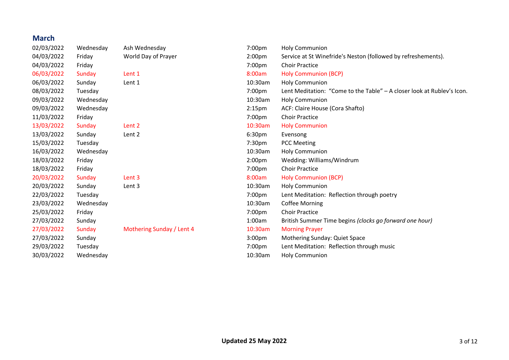### **March**

| 02/03/2022 | Wednesday | Ash Wednesday             | 7:00pm             | <b>Holy Communion</b>                                                  |
|------------|-----------|---------------------------|--------------------|------------------------------------------------------------------------|
| 04/03/2022 | Friday    | World Day of Prayer       | 2:00 <sub>pm</sub> | Service at St Winefride's Neston (followed by refreshements).          |
| 04/03/2022 | Friday    |                           | 7:00pm             | <b>Choir Practice</b>                                                  |
| 06/03/2022 | Sunday    | Lent 1                    | 8:00am             | <b>Holy Communion (BCP)</b>                                            |
| 06/03/2022 | Sunday    | Lent 1                    | 10:30am            | <b>Holy Communion</b>                                                  |
| 08/03/2022 | Tuesday   |                           | 7:00pm             | Lent Meditation: "Come to the Table" - A closer look at Rublev's Icon. |
| 09/03/2022 | Wednesday |                           | 10:30am            | <b>Holy Communion</b>                                                  |
| 09/03/2022 | Wednesday |                           | 2:15 <sub>pm</sub> | ACF: Claire House (Cora Shafto)                                        |
| 11/03/2022 | Friday    |                           | 7:00pm             | <b>Choir Practice</b>                                                  |
| 13/03/2022 | Sunday    | Lent 2                    | 10:30am            | <b>Holy Communion</b>                                                  |
| 13/03/2022 | Sunday    | Lent 2                    | 6:30 <sub>pm</sub> | Evensong                                                               |
| 15/03/2022 | Tuesday   |                           | 7:30 <sub>pm</sub> | <b>PCC Meeting</b>                                                     |
| 16/03/2022 | Wednesday |                           | 10:30am            | <b>Holy Communion</b>                                                  |
| 18/03/2022 | Friday    |                           | 2:00 <sub>pm</sub> | Wedding: Williams/Windrum                                              |
| 18/03/2022 | Friday    |                           | 7:00pm             | <b>Choir Practice</b>                                                  |
| 20/03/2022 | Sunday    | Lent 3                    | 8:00am             | <b>Holy Communion (BCP)</b>                                            |
| 20/03/2022 | Sunday    | Lent 3                    | 10:30am            | <b>Holy Communion</b>                                                  |
| 22/03/2022 | Tuesday   |                           | 7:00pm             | Lent Meditation: Reflection through poetry                             |
| 23/03/2022 | Wednesday |                           | 10:30am            | <b>Coffee Morning</b>                                                  |
| 25/03/2022 | Friday    |                           | 7:00pm             | <b>Choir Practice</b>                                                  |
| 27/03/2022 | Sunday    |                           | 1:00am             | British Summer Time begins (clocks go forward one hour)                |
| 27/03/2022 | Sunday    | Mothering Sunday / Lent 4 | 10:30am            | <b>Morning Prayer</b>                                                  |
| 27/03/2022 | Sunday    |                           | 3:00 <sub>pm</sub> | Mothering Sunday: Quiet Space                                          |
| 29/03/2022 | Tuesday   |                           | 7:00pm             | Lent Meditation: Reflection through music                              |
| 30/03/2022 | Wednesday |                           | 10:30am            | <b>Holy Communion</b>                                                  |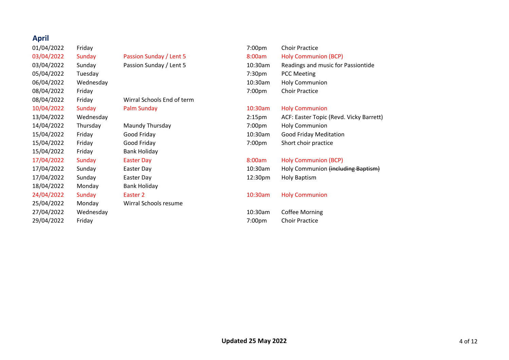## **April**

15/04/2022 Friday Bank Holiday 18/04/2022 Monday Bank Holiday

08/04/2022 Friday Wirral Schools End of term 25/04/2022 Monday Wirral Schools resume

01/04/2022 Friday 7:00pm Choir Practice 03/04/2022 Sunday Passion Sunday / Lent 5 8:00am Holy Communion (BCP) 03/04/2022 Sunday Passion Sunday / Lent 5 10:30am Readings and music for Passiontide 05/04/2022 Tuesday 7:30pm PCC Meeting 06/04/2022 Wednesday 10:30am Holy Communion 08/04/2022 Friday 7:00pm Choir Practice 10/04/2022 Sunday Palm Sunday 10:30am Holy Communion 13/04/2022 Wednesday 2:15pm ACF: Easter Topic (Revd. Vicky Barrett) 14/04/2022 Thursday Maundy Thursday 7:00pm Holy Communion 15/04/2022 Friday Good Friday 10:30am Good Friday Meditation 15/04/2022 Friday Good Friday 7:00pm Short choir practice 17/04/2022 Sunday Easter Day 8:00am Holy Communion (BCP) 17/04/2022 Sunday Easter Day 10:30am Holy Communion (including Baptism) 17/04/2022 Sunday Easter Day 12:30pm Holy Baptism 24/04/2022 Sunday Easter 2 10:30am Holy Communion 27/04/2022 Wednesday 10:30am Coffee Morning

29/04/2022 Friday 7:00pm Choir Practice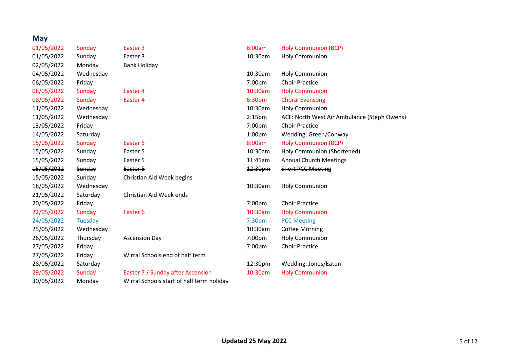### **May**

| 01/05/2022 | Sunday    | Easter 3                                  | 8:00am             | <b>Holy Communion (BCP)</b>                 |
|------------|-----------|-------------------------------------------|--------------------|---------------------------------------------|
| 01/05/2022 | Sunday    | Easter 3                                  | 10:30am            | Holy Communion                              |
| 02/05/2022 | Monday    | <b>Bank Holiday</b>                       |                    |                                             |
| 04/05/2022 | Wednesday |                                           | 10:30am            | <b>Holy Communion</b>                       |
| 06/05/2022 | Friday    |                                           | 7:00pm             | <b>Choir Practice</b>                       |
| 08/05/2022 | Sunday    | Easter 4                                  | 10:30am            | <b>Holy Communion</b>                       |
| 08/05/2022 | Sunday    | Easter 4                                  | 6:30 <sub>pm</sub> | <b>Choral Evensong</b>                      |
| 11/05/2022 | Wednesday |                                           | 10:30am            | <b>Holy Communion</b>                       |
| 11/05/2022 | Wednesday |                                           | 2:15 <sub>pm</sub> | ACF: North West Air Ambulance (Steph Owens) |
| 13/05/2022 | Friday    |                                           | 7:00pm             | <b>Choir Practice</b>                       |
| 14/05/2022 | Saturday  |                                           | 1:00 <sub>pm</sub> | Wedding: Green/Conway                       |
| 15/05/2022 | Sunday    | Easter 5                                  | 8:00am             | <b>Holy Communion (BCP)</b>                 |
| 15/05/2022 | Sunday    | Easter 5                                  | 10:30am            | Holy Communion (Shortened)                  |
| 15/05/2022 | Sunday    | Easter 5                                  | 11:45am            | <b>Annual Church Meetings</b>               |
| 15/05/2022 | Sunday    | Easter 5                                  | 12:30pm            | <b>Short PCC Meeting</b>                    |
| 15/05/2022 | Sunday    | Christian Aid Week begins                 |                    |                                             |
| 18/05/2022 | Wednesday |                                           | 10:30am            | <b>Holy Communion</b>                       |
| 21/05/2022 | Saturday  | Christian Aid Week ends                   |                    |                                             |
| 20/05/2022 | Friday    |                                           | 7:00pm             | <b>Choir Practice</b>                       |
| 22/05/2022 | Sunday    | Easter <sub>6</sub>                       | 10:30am            | <b>Holy Communion</b>                       |
| 24/05/2022 | Tuesday   |                                           | 7:30 <sub>pm</sub> | <b>PCC Meeting</b>                          |
| 25/05/2022 | Wednesday |                                           | 10:30am            | <b>Coffee Morning</b>                       |
| 26/05/2022 | Thursday  | <b>Ascension Day</b>                      | 7:00pm             | Holy Communion                              |
| 27/05/2022 | Friday    |                                           | 7:00pm             | <b>Choir Practice</b>                       |
| 27/05/2022 | Friday    | Wirral Schools end of half term           |                    |                                             |
| 28/05/2022 | Saturday  |                                           | 12:30pm            | Wedding: Jones/Eaton                        |
| 29/05/2022 | Sunday    | Easter 7 / Sunday after Ascension         | 10:30am            | <b>Holy Communion</b>                       |
| 30/05/2022 | Monday    | Wirral Schools start of half term holiday |                    |                                             |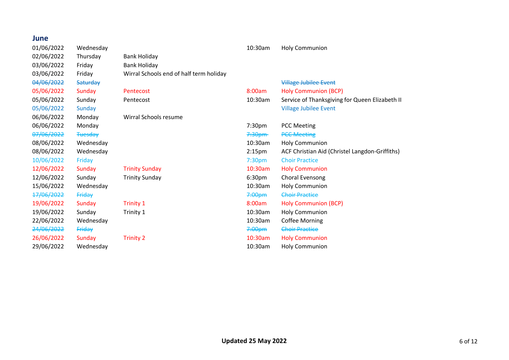# **June**<br>01/06/

| 01/06/2022 | Wednesday       |                                         | 10:30am            | <b>Holy Communion</b>                          |
|------------|-----------------|-----------------------------------------|--------------------|------------------------------------------------|
| 02/06/2022 | Thursday        | <b>Bank Holiday</b>                     |                    |                                                |
| 03/06/2022 | Friday          | <b>Bank Holiday</b>                     |                    |                                                |
| 03/06/2022 | Friday          | Wirral Schools end of half term holiday |                    |                                                |
| 04/06/2022 | <b>Saturday</b> |                                         |                    | <b>Village Jubilee Event</b>                   |
| 05/06/2022 | Sunday          | Pentecost                               | 8:00am             | <b>Holy Communion (BCP)</b>                    |
| 05/06/2022 | Sunday          | Pentecost                               | 10:30am            | Service of Thanksgiving for Queen Elizabeth II |
| 05/06/2022 | Sunday          |                                         |                    | <b>Village Jubilee Event</b>                   |
| 06/06/2022 | Monday          | Wirral Schools resume                   |                    |                                                |
| 06/06/2022 | Monday          |                                         | 7:30pm             | <b>PCC Meeting</b>                             |
| 07/06/2022 | <b>Tuesday</b>  |                                         | 7:30 <sub>pm</sub> | <b>PCC Meeting</b>                             |
| 08/06/2022 | Wednesday       |                                         | 10:30am            | <b>Holy Communion</b>                          |
| 08/06/2022 | Wednesday       |                                         | 2:15 <sub>pm</sub> | ACF Christian Aid (Christel Langdon-Griffiths) |
| 10/06/2022 | Friday          |                                         | 7:30 <sub>pm</sub> | <b>Choir Practice</b>                          |
| 12/06/2022 | Sunday          | <b>Trinity Sunday</b>                   | 10:30am            | <b>Holy Communion</b>                          |
| 12/06/2022 | Sunday          | <b>Trinity Sunday</b>                   | 6:30pm             | Choral Evensong                                |
| 15/06/2022 | Wednesday       |                                         | 10:30am            | <b>Holy Communion</b>                          |
| 17/06/2022 | Friday          |                                         | 7:00 <sub>pm</sub> | <b>Choir Practice</b>                          |
| 19/06/2022 | Sunday          | <b>Trinity 1</b>                        | 8:00am             | <b>Holy Communion (BCP)</b>                    |
| 19/06/2022 | Sunday          | Trinity 1                               | 10:30am            | <b>Holy Communion</b>                          |
| 22/06/2022 | Wednesday       |                                         | 10:30am            | <b>Coffee Morning</b>                          |
| 24/06/2022 | Friday          |                                         | 7:00 <sub>pm</sub> | <b>Choir Practice</b>                          |
| 26/06/2022 | Sunday          | <b>Trinity 2</b>                        | 10:30am            | <b>Holy Communion</b>                          |
| 29/06/2022 | Wednesday       |                                         | 10:30am            | <b>Holy Communion</b>                          |
|            |                 |                                         |                    |                                                |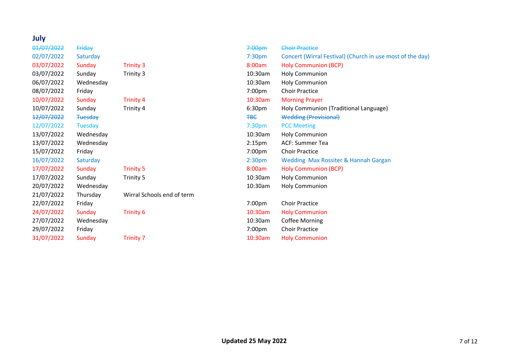#### **July** 01/07/2022 Friday 7:00pm Choir Practice 02/07/2022 Saturday 7:30pm Concert (Wirral Festival) (Church in use most of the day) 03/07/2022 Sunday Trinity 3 8:00am Holy Communion (BCP) 03/07/2022 Sunday Trinity 3 10:30am Holy Communion 06/07/2022 Wednesday 10:30am Holy Communion 08/07/2022 Friday 7:00pm Choir Practice 10/07/2022 Sunday Trinity 4 10:30am Morning Prayer 10/07/2022 Sunday Trinity 4 6:30pm Holy Communion (Traditional Language) 12/07/2022 Tuesday TBC Wedding (Provisional) 12/07/2022 Tuesday 7:30pm PCC Meeting 13/07/2022 Wednesday 10:30am Holy Communion 13/07/2022 Wednesday 2:15pm ACF: Summer Tea 15/07/2022 Friday 7:00pm Choir Practice 16/07/2022 Saturday 2:30pm Wedding Max Rossiter & Hannah Gargan 17/07/2022 Sunday Trinity 5 8:00am Holy Communion (BCP) 17/07/2022 Sunday Trinity 5 10:30am Holy Communion 20/07/2022 Wednesday 10:30am Holy Communion 21/07/2022 Thursday Wirral Schools end of term 22/07/2022 Friday 7:00pm Choir Practice 24/07/2022 Sunday Trinity 6 10:30am Holy Communion 27/07/2022 Wednesday 10:30am Coffee Morning 29/07/2022 Friday 7:00pm Choir Practice 31/07/2022 Sunday Trinity 7 10:30am Holy Communion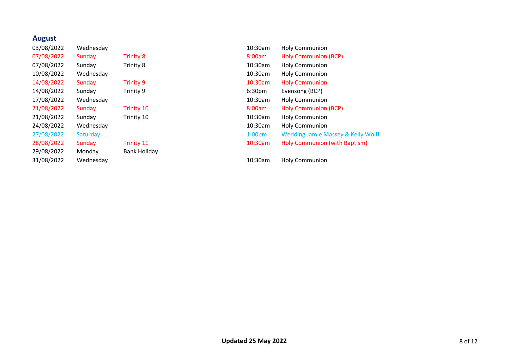#### **August**

03/08/2022 Wednesday 10:30am Holy Communion 07/08/2022 Sunday Trinity 8 3:00am Holy Communion (BCP) 07/08/2022 Sunday Trinity 8 10:30am Holy Communion 10/08/2022 Wednesday 10:30am Holy Communion 14/08/2022 Sunday Trinity 9 10:30am Holy Communion 14/08/2022 Sunday Trinity 9 6:30pm Evensong (BCP) 29/08/2022 Monday Bank Holiday

17/08/2022 Wednesday 10:30am Holy Communion 21/08/2022 Sunday Trinity 10 3:00am Holy Communion (BCP) 21/08/2022 Sunday Trinity 10 10:30am Holy Communion 24/08/2022 Wednesday 10:30am Holy Communion 27/08/2022 Saturday 1:00pm Wedding Jamie Massey & Kelly Wolff 28/08/2022 Sunday Trinity 11 10:30am Holy Communion (with Baptism)

31/08/2022 Wednesday 10:30am Holy Communion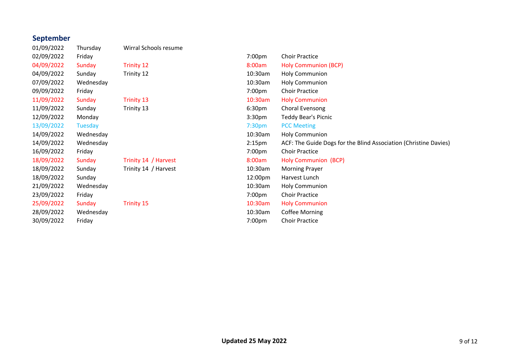# **September**<br>01/09/2022

02/09/2022 09/09/2022 11/09/2022 13/09/2022 16/09/2022 21/09/2022 28/09/2022

01/09/2022 Thursday Wirral Schools resume

| 02/09/2022 | Friday    |                      | 7:00pm             | <b>Choir Practice</b>                                            |
|------------|-----------|----------------------|--------------------|------------------------------------------------------------------|
| 04/09/2022 | Sunday    | <b>Trinity 12</b>    | 8:00am             | <b>Holy Communion (BCP)</b>                                      |
| 04/09/2022 | Sunday    | Trinity 12           | 10:30am            | <b>Holy Communion</b>                                            |
| 07/09/2022 | Wednesday |                      | 10:30am            | <b>Holy Communion</b>                                            |
| 09/09/2022 | Friday    |                      | 7:00pm             | <b>Choir Practice</b>                                            |
| 11/09/2022 | Sunday    | <b>Trinity 13</b>    | 10:30am            | <b>Holy Communion</b>                                            |
| 11/09/2022 | Sunday    | Trinity 13           | 6:30 <sub>pm</sub> | Choral Evensong                                                  |
| 12/09/2022 | Monday    |                      | 3:30 <sub>pm</sub> | Teddy Bear's Picnic                                              |
| 13/09/2022 | Tuesday   |                      | 7:30 <sub>pm</sub> | <b>PCC Meeting</b>                                               |
| 14/09/2022 | Wednesday |                      | 10:30am            | <b>Holy Communion</b>                                            |
| 14/09/2022 | Wednesday |                      | 2:15 <sub>pm</sub> | ACF: The Guide Dogs for the Blind Association (Christine Davies) |
| 16/09/2022 | Friday    |                      | 7:00 <sub>pm</sub> | <b>Choir Practice</b>                                            |
| 18/09/2022 | Sunday    | Trinity 14 / Harvest | 8:00am             | <b>Holy Communion (BCP)</b>                                      |
| 18/09/2022 | Sunday    | Trinity 14 / Harvest | 10:30am            | <b>Morning Prayer</b>                                            |
| 18/09/2022 | Sunday    |                      | 12:00pm            | Harvest Lunch                                                    |
| 21/09/2022 | Wednesday |                      | 10:30am            | <b>Holy Communion</b>                                            |
| 23/09/2022 | Friday    |                      | 7:00pm             | <b>Choir Practice</b>                                            |
| 25/09/2022 | Sunday    | <b>Trinity 15</b>    | 10:30am            | <b>Holy Communion</b>                                            |
| 28/09/2022 | Wednesday |                      | 10:30am            | <b>Coffee Morning</b>                                            |
| 30/09/2022 | Friday    |                      | 7:00pm             | <b>Choir Practice</b>                                            |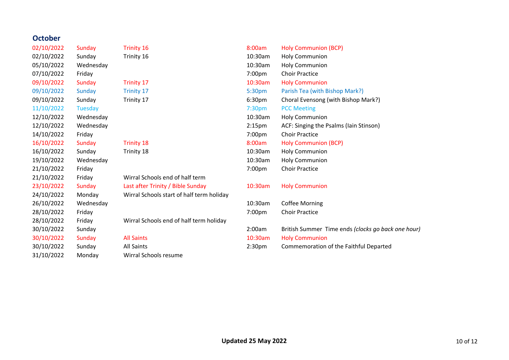### **October**

| 02/10/2022 | Sunday         | <b>Trinity 16</b>                         | 8:00am             | <b>Holy Communion (BCP)</b>                        |
|------------|----------------|-------------------------------------------|--------------------|----------------------------------------------------|
| 02/10/2022 | Sunday         | Trinity 16                                | 10:30am            | <b>Holy Communion</b>                              |
| 05/10/2022 | Wednesday      |                                           | 10:30am            | <b>Holy Communion</b>                              |
| 07/10/2022 | Friday         |                                           | 7:00pm             | <b>Choir Practice</b>                              |
| 09/10/2022 | Sunday         | <b>Trinity 17</b>                         | 10:30am            | <b>Holy Communion</b>                              |
| 09/10/2022 | Sunday         | <b>Trinity 17</b>                         | 5:30pm             | Parish Tea (with Bishop Mark?)                     |
| 09/10/2022 | Sunday         | Trinity 17                                | 6:30 <sub>pm</sub> | Choral Evensong (with Bishop Mark?)                |
| 11/10/2022 | <b>Tuesday</b> |                                           | 7:30 <sub>pm</sub> | <b>PCC Meeting</b>                                 |
| 12/10/2022 | Wednesday      |                                           | 10:30am            | <b>Holy Communion</b>                              |
| 12/10/2022 | Wednesday      |                                           | 2:15 <sub>pm</sub> | ACF: Singing the Psalms (Iain Stinson)             |
| 14/10/2022 | Friday         |                                           | 7:00pm             | <b>Choir Practice</b>                              |
| 16/10/2022 | Sunday         | <b>Trinity 18</b>                         | 8:00am             | <b>Holy Communion (BCP)</b>                        |
| 16/10/2022 | Sunday         | Trinity 18                                | 10:30am            | <b>Holy Communion</b>                              |
| 19/10/2022 | Wednesday      |                                           | 10:30am            | <b>Holy Communion</b>                              |
| 21/10/2022 | Friday         |                                           | 7:00pm             | <b>Choir Practice</b>                              |
| 21/10/2022 | Friday         | Wirral Schools end of half term           |                    |                                                    |
| 23/10/2022 | Sunday         | Last after Trinity / Bible Sunday         | 10:30am            | <b>Holy Communion</b>                              |
| 24/10/2022 | Monday         | Wirral Schools start of half term holiday |                    |                                                    |
| 26/10/2022 | Wednesday      |                                           | 10:30am            | <b>Coffee Morning</b>                              |
| 28/10/2022 | Friday         |                                           | 7:00pm             | <b>Choir Practice</b>                              |
| 28/10/2022 | Friday         | Wirral Schools end of half term holiday   |                    |                                                    |
| 30/10/2022 | Sunday         |                                           | 2:00am             | British Summer Time ends (clocks go back one hour) |
| 30/10/2022 | Sunday         | <b>All Saints</b>                         | 10:30am            | <b>Holy Communion</b>                              |
| 30/10/2022 | Sunday         | <b>All Saints</b>                         | 2:30 <sub>pm</sub> | Commemoration of the Faithful Departed             |
| 31/10/2022 | Monday         | Wirral Schools resume                     |                    |                                                    |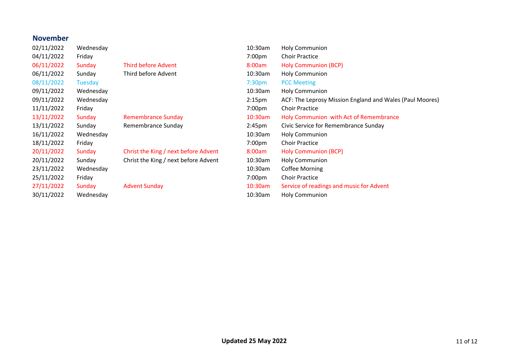#### **November**

| 02/11/2022 | Wednesday      |                                      | 10:30am            | <b>Holy Communion</b>                                    |
|------------|----------------|--------------------------------------|--------------------|----------------------------------------------------------|
| 04/11/2022 | Friday         |                                      | 7:00pm             | <b>Choir Practice</b>                                    |
| 06/11/2022 | Sunday         | Third before Advent                  | 8:00am             | <b>Holy Communion (BCP)</b>                              |
| 06/11/2022 | Sunday         | Third before Advent                  | 10:30am            | <b>Holy Communion</b>                                    |
| 08/11/2022 | <b>Tuesday</b> |                                      | 7:30 <sub>pm</sub> | <b>PCC Meeting</b>                                       |
| 09/11/2022 | Wednesday      |                                      | 10:30am            | <b>Holy Communion</b>                                    |
| 09/11/2022 | Wednesday      |                                      | 2:15 <sub>pm</sub> | ACF: The Leprosy Mission England and Wales (Paul Moores) |
| 11/11/2022 | Friday         |                                      | 7:00 <sub>pm</sub> | <b>Choir Practice</b>                                    |
| 13/11/2022 | Sunday         | <b>Remembrance Sunday</b>            | 10:30am            | Holy Communion with Act of Remembrance                   |
| 13/11/2022 | Sunday         | Remembrance Sunday                   | 2:45 <sub>pm</sub> | Civic Service for Remembrance Sunday                     |
| 16/11/2022 | Wednesday      |                                      | 10:30am            | <b>Holy Communion</b>                                    |
| 18/11/2022 | Friday         |                                      | 7:00 <sub>pm</sub> | <b>Choir Practice</b>                                    |
| 20/11/2022 | Sunday         | Christ the King / next before Advent | 8:00am             | <b>Holy Communion (BCP)</b>                              |
| 20/11/2022 | Sunday         | Christ the King / next before Advent | 10:30am            | <b>Holy Communion</b>                                    |
| 23/11/2022 | Wednesday      |                                      | 10:30am            | <b>Coffee Morning</b>                                    |
| 25/11/2022 | Friday         |                                      | 7:00pm             | <b>Choir Practice</b>                                    |
| 27/11/2022 | Sunday         | <b>Advent Sunday</b>                 | 10:30am            | Service of readings and music for Advent                 |
| 30/11/2022 | Wednesday      |                                      | 10:30am            | <b>Holy Communion</b>                                    |
|            |                |                                      |                    |                                                          |